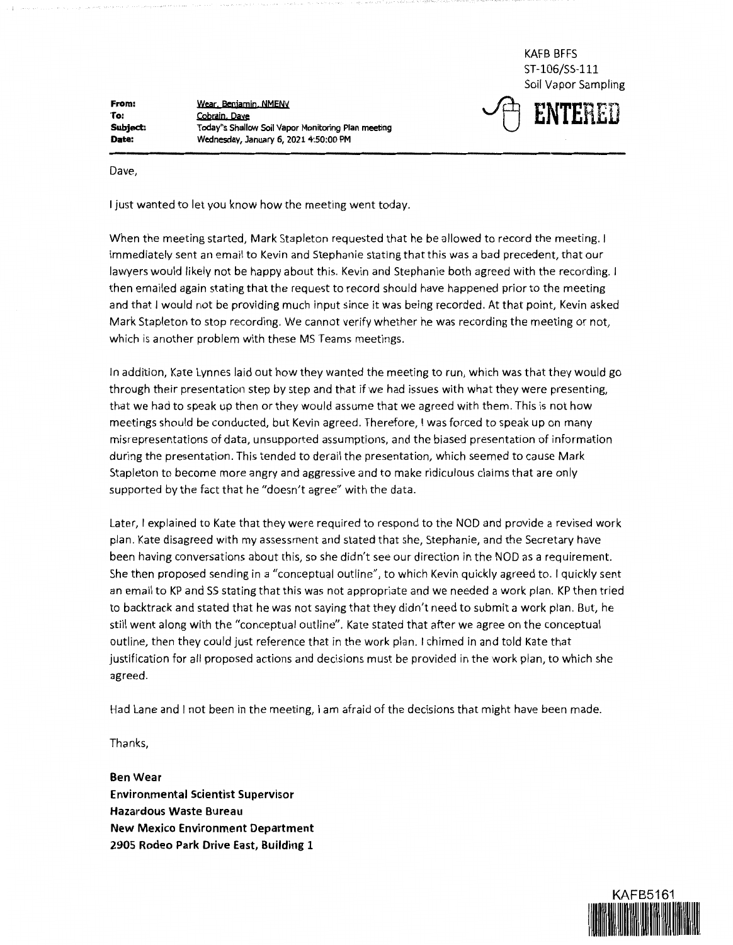**From: To: Subject: Date:** 

**Weac Beaiaroi**•**, NMENY Cobrai**•**, Pave Today"s Shallow Soil Vapor Monitoring Plan meeting Wednesday, January 6, 2021 4:50:00 PM** 

KAFB BFFS ST-106/SS-111 Soil Vapor Sampling



Dave,

I just wanted to let you know how the meeting went today.

When the meeting started, Mark Stapleton requested that he be allowed to record the meeting. I immediately sent an email to Kevin and Stephanie stating that this was a bad precedent, that our lawyers would likely not be happy about this. Kevin and Stephanie both agreed with the recording. I then emailed again stating that the request to record should have happened prior to the meeting and that I would not be providing much input since it was being recorded. At that point, Kevin asked Mark Stapleton to stop recording. We cannot verify whether he was recording the meeting or not, which is another problem with these MS Teams meetings.

In addition, Kate Lynnes laid out how they wanted the meeting to run, which was that they would go through their presentation step by step and that if we had issues with what they were presenting, that we had to speak up then or they would assume that we agreed with them. This is not how meetings should be conducted, but Kevin agreed. Therefore, I was forced to speak up on many misrepresentations of data, unsupported assumptions, and the biased presentation of information during the presentation. This tended to derail the presentation, which seemed to cause Mark Stapleton to become more angry and aggressive and to make ridiculous claims that are only supported by the fact that he "doesn't agree" with the data.

Later, I explained to Kate that they were required to respond to the NOD and provide a revised work plan. Kate disagreed with my assessment and stated that she, Stephanie, and the Secretary have been having conversations about this, so she didn't see our direction in the NOD as a requirement. She then proposed sending in a "conceptual outline", to which Kevin quickly agreed to. I quickly sent an email to KP and SS stating that this was not appropriate and we needed a work plan. KP then tried to backtrack and stated that he was not saying that they didn't need to submit a work plan. But, he still went along with the "conceptual outline". Kate stated that after we agree on the conceptual outline, then they could just reference that in the work plan. I chimed in and told Kate that justification for all proposed actions and decisions must be provided in the work plan, to which she agreed.

Had Lane and I not been in the meeting, I am afraid of the decisions that might have been made.

Thanks,

**Ben Wear Environmental Scientist Supervisor Hazardous Waste Bureau New Mexico Environment Department 2905 Rodeo Park Drive East, Building 1**